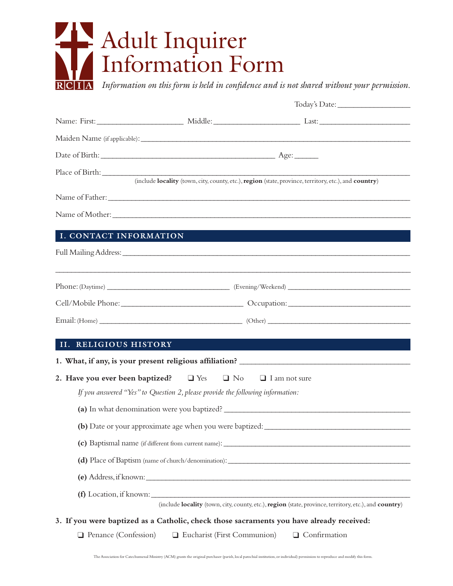## Adult Inquirer Information Form

*Information on this form is held in confidence and is not shared without your permission.*

|                        |                                                                                | (include locality (town, city, county, etc.), region (state, province, territory, etc.), and country)                                                                                                                                                                                  |
|------------------------|--------------------------------------------------------------------------------|----------------------------------------------------------------------------------------------------------------------------------------------------------------------------------------------------------------------------------------------------------------------------------------|
|                        |                                                                                |                                                                                                                                                                                                                                                                                        |
|                        |                                                                                |                                                                                                                                                                                                                                                                                        |
| I. CONTACT INFORMATION |                                                                                |                                                                                                                                                                                                                                                                                        |
|                        |                                                                                |                                                                                                                                                                                                                                                                                        |
|                        |                                                                                |                                                                                                                                                                                                                                                                                        |
|                        |                                                                                |                                                                                                                                                                                                                                                                                        |
|                        |                                                                                |                                                                                                                                                                                                                                                                                        |
|                        |                                                                                |                                                                                                                                                                                                                                                                                        |
| II. RELIGIOUS HISTORY  |                                                                                |                                                                                                                                                                                                                                                                                        |
|                        |                                                                                |                                                                                                                                                                                                                                                                                        |
|                        | 2. Have you ever been baptized? $\Box$ Yes $\Box$ No $\Box$ I am not sure      |                                                                                                                                                                                                                                                                                        |
|                        | If you answered "Yes" to Question 2, please provide the following information: |                                                                                                                                                                                                                                                                                        |
|                        |                                                                                | (a) In what denomination were you baptized?                                                                                                                                                                                                                                            |
|                        |                                                                                | (b) Date or your approximate age when you were baptized:                                                                                                                                                                                                                               |
|                        |                                                                                |                                                                                                                                                                                                                                                                                        |
|                        |                                                                                |                                                                                                                                                                                                                                                                                        |
|                        |                                                                                | (e) Address, if known: $\frac{1}{2}$ and $\frac{1}{2}$ and $\frac{1}{2}$ and $\frac{1}{2}$ and $\frac{1}{2}$ and $\frac{1}{2}$ and $\frac{1}{2}$ and $\frac{1}{2}$ and $\frac{1}{2}$ and $\frac{1}{2}$ and $\frac{1}{2}$ and $\frac{1}{2}$ and $\frac{1}{2}$ and $\frac{1}{2}$ and $\$ |
|                        |                                                                                |                                                                                                                                                                                                                                                                                        |
|                        |                                                                                | (include <b>locality</b> (town, city, county, etc.), <b>region</b> (state, province, territory, etc.), and <b>country</b> )                                                                                                                                                            |
|                        |                                                                                | 3. If you were baptized as a Catholic, check those sacraments you have already received:                                                                                                                                                                                               |
|                        |                                                                                | $\Box$ Penance (Confession) $\Box$ Eucharist (First Communion) $\Box$ Confirmation                                                                                                                                                                                                     |

The Association for Catechumenal Ministry (ACM) grants the original purchaser (parish, local parochial institution, or individual) permission to reproduce and modify this form.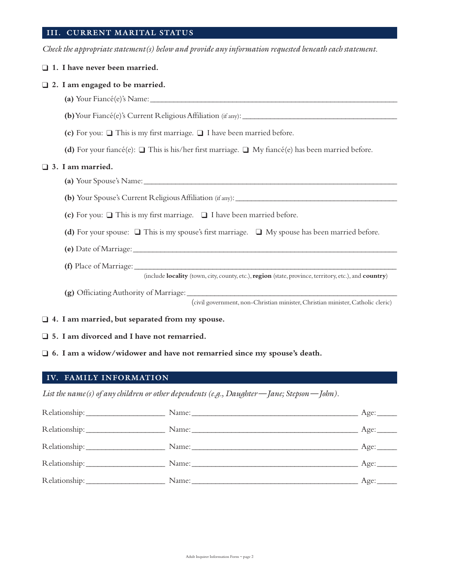## **III. CURRENT MARITAL STATUS**

*Check the appropriate statement(s) below and provide any information requested beneath each statement.*

|                                       | $\Box$ 1. I have never been married.                                                                                        |  |  |  |
|---------------------------------------|-----------------------------------------------------------------------------------------------------------------------------|--|--|--|
| $\Box$ 2. I am engaged to be married. |                                                                                                                             |  |  |  |
|                                       |                                                                                                                             |  |  |  |
|                                       | (b) Your Fiancé(e)'s Current Religious Affiliation (if any): $\frac{1}{2}$                                                  |  |  |  |
|                                       | (c) For you: $\Box$ This is my first marriage. $\Box$ I have been married before.                                           |  |  |  |
|                                       | (d) For your fiancé(e): $\Box$ This is his/her first marriage. $\Box$ My fiancé(e) has been married before.                 |  |  |  |
| $\Box$ 3. I am married.               |                                                                                                                             |  |  |  |
|                                       |                                                                                                                             |  |  |  |
|                                       |                                                                                                                             |  |  |  |
|                                       | (c) For you: $\Box$ This is my first marriage. $\Box$ I have been married before.                                           |  |  |  |
|                                       | (d) For your spouse: $\square$ This is my spouse's first marriage. $\square$ My spouse has been married before.             |  |  |  |
|                                       |                                                                                                                             |  |  |  |
|                                       | (include <b>locality</b> (town, city, county, etc.), <b>region</b> (state, province, territory, etc.), and <b>country</b> ) |  |  |  |
|                                       | (civil government, non-Christian minister, Christian minister, Catholic cleric)                                             |  |  |  |
|                                       |                                                                                                                             |  |  |  |

❑ **4. I am married, but separated from my spouse.**

❑ **5. I am divorced and I have not remarried.**

❑ **6. I am a widow/widower and have not remarried since my spouse's death.**

## **IV. FAMILY INFORMATION**

*List the name(s) of any children or other dependents (e.g., Daughter — Jane; Stepson — John).*

|  | Age:           |
|--|----------------|
|  | ___ Age: _____ |
|  | Age:           |
|  | Age:           |
|  | Age:           |